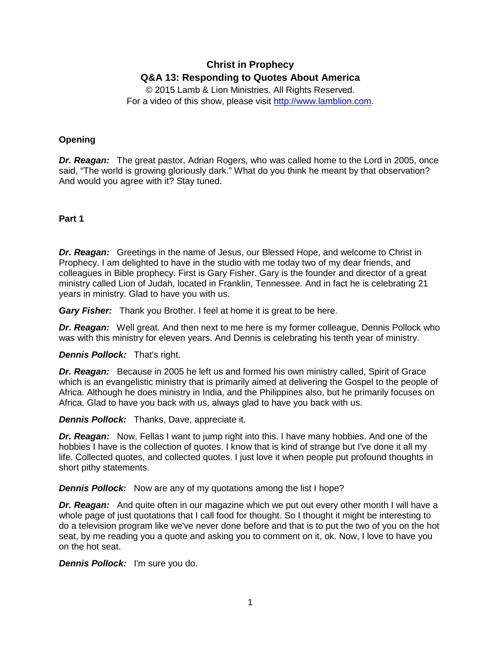# **Christ in Prophecy Q&A 13: Responding to Quotes About America**

© 2015 Lamb & Lion Ministries. All Rights Reserved. For a video of this show, please visit [http://www.lamblion.com.](http://www.lamblion.com/)

# **Opening**

*Dr. Reagan:* The great pastor, Adrian Rogers, who was called home to the Lord in 2005, once said, "The world is growing gloriously dark." What do you think he meant by that observation? And would you agree with it? Stay tuned.

# **Part 1**

*Dr. Reagan:* Greetings in the name of Jesus, our Blessed Hope, and welcome to Christ in Prophecy. I am delighted to have in the studio with me today two of my dear friends, and colleagues in Bible prophecy. First is Gary Fisher. Gary is the founder and director of a great ministry called Lion of Judah, located in Franklin, Tennessee. And in fact he is celebrating 21 years in ministry. Glad to have you with us.

*Gary Fisher:* Thank you Brother. I feel at home it is great to be here.

*Dr. Reagan:* Well great. And then next to me here is my former colleague, Dennis Pollock who was with this ministry for eleven years. And Dennis is celebrating his tenth year of ministry.

# *Dennis Pollock:* That's right.

*Dr. Reagan:* Because in 2005 he left us and formed his own ministry called, Spirit of Grace which is an evangelistic ministry that is primarily aimed at delivering the Gospel to the people of Africa. Although he does ministry in India, and the Philippines also, but he primarily focuses on Africa. Glad to have you back with us, always glad to have you back with us.

*Dennis Pollock:* Thanks, Dave, appreciate it.

**Dr. Reagan:** Now, Fellas I want to jump right into this. I have many hobbies. And one of the hobbies I have is the collection of quotes. I know that is kind of strange but I've done it all my life. Collected quotes, and collected quotes. I just love it when people put profound thoughts in short pithy statements.

# *Dennis Pollock:* Now are any of my quotations among the list I hope?

*Dr. Reagan:* And quite often in our magazine which we put out every other month I will have a whole page of just quotations that I call food for thought. So I thought it might be interesting to do a television program like we've never done before and that is to put the two of you on the hot seat, by me reading you a quote and asking you to comment on it, ok. Now, I love to have you on the hot seat.

*Dennis Pollock:* I'm sure you do.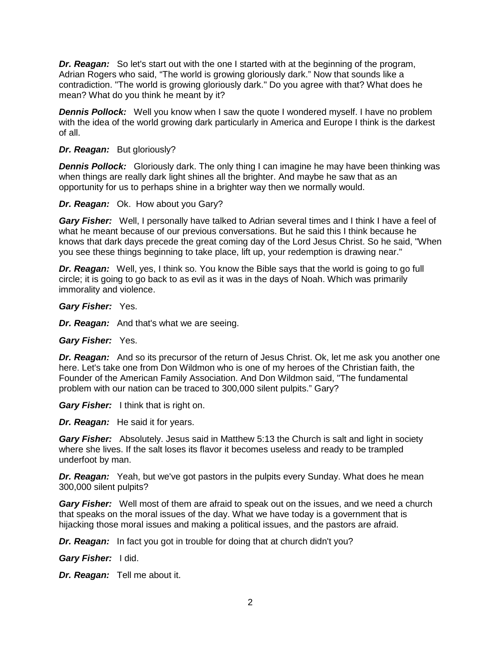*Dr. Reagan:* So let's start out with the one I started with at the beginning of the program, Adrian Rogers who said, "The world is growing gloriously dark." Now that sounds like a contradiction. "The world is growing gloriously dark." Do you agree with that? What does he mean? What do you think he meant by it?

**Dennis Pollock:** Well you know when I saw the quote I wondered myself. I have no problem with the idea of the world growing dark particularly in America and Europe I think is the darkest of all.

#### *Dr. Reagan:* But gloriously?

**Dennis Pollock:** Gloriously dark. The only thing I can imagine he may have been thinking was when things are really dark light shines all the brighter. And maybe he saw that as an opportunity for us to perhaps shine in a brighter way then we normally would.

#### *Dr. Reagan:* Ok. How about you Gary?

*Gary Fisher:* Well, I personally have talked to Adrian several times and I think I have a feel of what he meant because of our previous conversations. But he said this I think because he knows that dark days precede the great coming day of the Lord Jesus Christ. So he said, "When you see these things beginning to take place, lift up, your redemption is drawing near."

**Dr. Reagan:** Well, yes, I think so. You know the Bible says that the world is going to go full circle; it is going to go back to as evil as it was in the days of Noah. Which was primarily immorality and violence.

*Gary Fisher:* Yes.

*Dr. Reagan:* And that's what we are seeing.

*Gary Fisher:* Yes.

*Dr. Reagan:* And so its precursor of the return of Jesus Christ. Ok, let me ask you another one here. Let's take one from Don Wildmon who is one of my heroes of the Christian faith, the Founder of the American Family Association. And Don Wildmon said, "The fundamental problem with our nation can be traced to 300,000 silent pulpits." Gary?

*Gary Fisher:* I think that is right on.

*Dr. Reagan:* He said it for years.

*Gary Fisher:* Absolutely. Jesus said in Matthew 5:13 the Church is salt and light in society where she lives. If the salt loses its flavor it becomes useless and ready to be trampled underfoot by man.

**Dr. Reagan:** Yeah, but we've got pastors in the pulpits every Sunday. What does he mean 300,000 silent pulpits?

*Gary Fisher:* Well most of them are afraid to speak out on the issues, and we need a church that speaks on the moral issues of the day. What we have today is a government that is hijacking those moral issues and making a political issues, and the pastors are afraid.

*Dr. Reagan:* In fact you got in trouble for doing that at church didn't you?

*Gary Fisher:* I did.

*Dr. Reagan:* Tell me about it.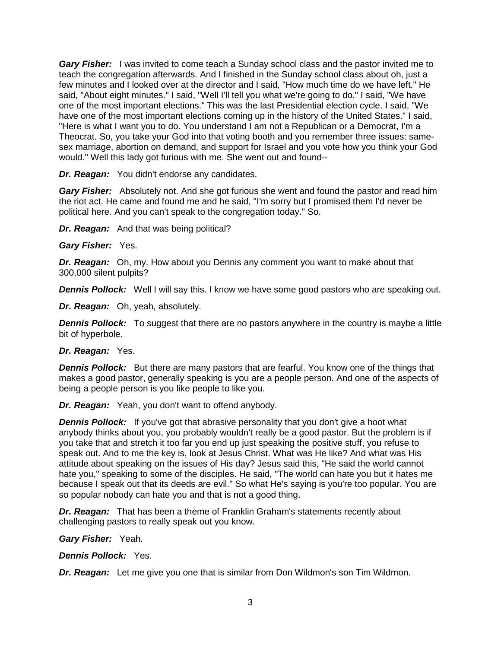*Gary Fisher:* I was invited to come teach a Sunday school class and the pastor invited me to teach the congregation afterwards. And I finished in the Sunday school class about oh, just a few minutes and I looked over at the director and I said, "How much time do we have left." He said, "About eight minutes." I said, "Well I'll tell you what we're going to do." I said, "We have one of the most important elections." This was the last Presidential election cycle. I said, "We have one of the most important elections coming up in the history of the United States." I said, "Here is what I want you to do. You understand I am not a Republican or a Democrat, I'm a Theocrat. So, you take your God into that voting booth and you remember three issues: samesex marriage, abortion on demand, and support for Israel and you vote how you think your God would." Well this lady got furious with me. She went out and found--

*Dr. Reagan:* You didn't endorse any candidates.

*Gary Fisher:* Absolutely not. And she got furious she went and found the pastor and read him the riot act. He came and found me and he said, "I'm sorry but I promised them I'd never be political here. And you can't speak to the congregation today." So.

*Dr. Reagan:* And that was being political?

*Gary Fisher:* Yes.

*Dr. Reagan:* Oh, my. How about you Dennis any comment you want to make about that 300,000 silent pulpits?

**Dennis Pollock:** Well I will say this. I know we have some good pastors who are speaking out.

*Dr. Reagan:* Oh, yeah, absolutely.

**Dennis Pollock:** To suggest that there are no pastors anywhere in the country is maybe a little bit of hyperbole.

#### *Dr. Reagan:* Yes.

**Dennis Pollock:** But there are many pastors that are fearful. You know one of the things that makes a good pastor, generally speaking is you are a people person. And one of the aspects of being a people person is you like people to like you.

*Dr. Reagan:* Yeah, you don't want to offend anybody.

**Dennis Pollock:** If you've got that abrasive personality that you don't give a hoot what anybody thinks about you, you probably wouldn't really be a good pastor. But the problem is if you take that and stretch it too far you end up just speaking the positive stuff, you refuse to speak out. And to me the key is, look at Jesus Christ. What was He like? And what was His attitude about speaking on the issues of His day? Jesus said this, "He said the world cannot hate you," speaking to some of the disciples. He said, "The world can hate you but it hates me because I speak out that its deeds are evil." So what He's saying is you're too popular. You are so popular nobody can hate you and that is not a good thing.

*Dr. Reagan:* That has been a theme of Franklin Graham's statements recently about challenging pastors to really speak out you know.

*Gary Fisher:* Yeah.

*Dennis Pollock:* Yes.

*Dr. Reagan:* Let me give you one that is similar from Don Wildmon's son Tim Wildmon.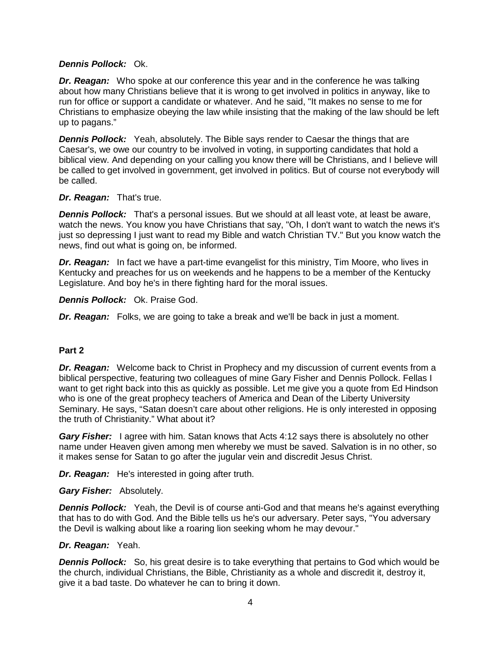# *Dennis Pollock:* Ok.

*Dr. Reagan:* Who spoke at our conference this year and in the conference he was talking about how many Christians believe that it is wrong to get involved in politics in anyway, like to run for office or support a candidate or whatever. And he said, "It makes no sense to me for Christians to emphasize obeying the law while insisting that the making of the law should be left up to pagans."

**Dennis Pollock:** Yeah, absolutely. The Bible says render to Caesar the things that are Caesar's, we owe our country to be involved in voting, in supporting candidates that hold a biblical view. And depending on your calling you know there will be Christians, and I believe will be called to get involved in government, get involved in politics. But of course not everybody will be called.

# *Dr. Reagan:* That's true.

*Dennis Pollock:* That's a personal issues. But we should at all least vote, at least be aware, watch the news. You know you have Christians that say, "Oh, I don't want to watch the news it's just so depressing I just want to read my Bible and watch Christian TV." But you know watch the news, find out what is going on, be informed.

*Dr. Reagan:* In fact we have a part-time evangelist for this ministry, Tim Moore, who lives in Kentucky and preaches for us on weekends and he happens to be a member of the Kentucky Legislature. And boy he's in there fighting hard for the moral issues.

*Dennis Pollock:* Ok. Praise God.

*Dr. Reagan:* Folks, we are going to take a break and we'll be back in just a moment.

# **Part 2**

*Dr. Reagan:* Welcome back to Christ in Prophecy and my discussion of current events from a biblical perspective, featuring two colleagues of mine Gary Fisher and Dennis Pollock. Fellas I want to get right back into this as quickly as possible. Let me give you a quote from Ed Hindson who is one of the great prophecy teachers of America and Dean of the Liberty University Seminary. He says, "Satan doesn't care about other religions. He is only interested in opposing the truth of Christianity." What about it?

*Gary Fisher:* I agree with him. Satan knows that Acts 4:12 says there is absolutely no other name under Heaven given among men whereby we must be saved. Salvation is in no other, so it makes sense for Satan to go after the jugular vein and discredit Jesus Christ.

*Dr. Reagan:* He's interested in going after truth.

#### *Gary Fisher:* Absolutely.

**Dennis Pollock:** Yeah, the Devil is of course anti-God and that means he's against everything that has to do with God. And the Bible tells us he's our adversary. Peter says, "You adversary the Devil is walking about like a roaring lion seeking whom he may devour."

#### *Dr. Reagan:* Yeah.

**Dennis Pollock:** So, his great desire is to take everything that pertains to God which would be the church, individual Christians, the Bible, Christianity as a whole and discredit it, destroy it, give it a bad taste. Do whatever he can to bring it down.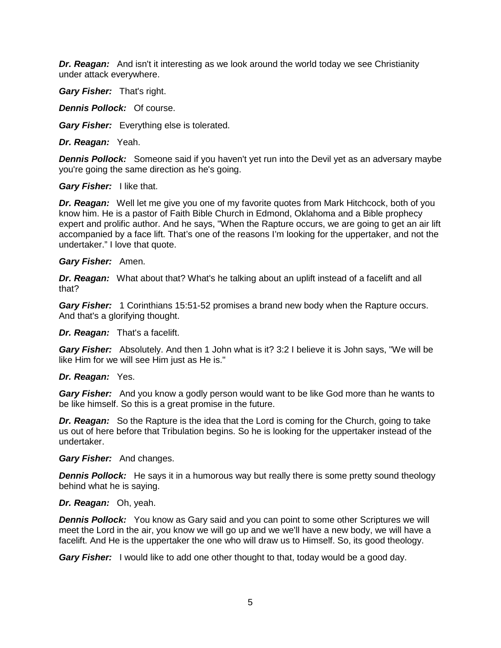*Dr. Reagan:* And isn't it interesting as we look around the world today we see Christianity under attack everywhere.

*Gary Fisher:* That's right.

*Dennis Pollock:* Of course.

*Gary Fisher:* Everything else is tolerated.

*Dr. Reagan:* Yeah.

**Dennis Pollock:** Someone said if you haven't yet run into the Devil yet as an adversary maybe you're going the same direction as he's going.

#### *Gary Fisher:* I like that.

**Dr. Reagan:** Well let me give you one of my favorite quotes from Mark Hitchcock, both of you know him. He is a pastor of Faith Bible Church in Edmond, Oklahoma and a Bible prophecy expert and prolific author. And he says, "When the Rapture occurs, we are going to get an air lift accompanied by a face lift. That's one of the reasons I'm looking for the uppertaker, and not the undertaker." I love that quote.

#### *Gary Fisher:* Amen.

*Dr. Reagan:* What about that? What's he talking about an uplift instead of a facelift and all that?

*Gary Fisher:* 1 Corinthians 15:51-52 promises a brand new body when the Rapture occurs. And that's a glorifying thought.

*Dr. Reagan:* That's a facelift.

*Gary Fisher:* Absolutely. And then 1 John what is it? 3:2 I believe it is John says, "We will be like Him for we will see Him just as He is."

#### *Dr. Reagan:* Yes.

*Gary Fisher:* And you know a godly person would want to be like God more than he wants to be like himself. So this is a great promise in the future.

*Dr. Reagan:* So the Rapture is the idea that the Lord is coming for the Church, going to take us out of here before that Tribulation begins. So he is looking for the uppertaker instead of the undertaker.

#### *Gary Fisher:* And changes.

**Dennis Pollock:** He says it in a humorous way but really there is some pretty sound theology behind what he is saying.

#### *Dr. Reagan:* Oh, yeah.

*Dennis Pollock:* You know as Gary said and you can point to some other Scriptures we will meet the Lord in the air, you know we will go up and we we'll have a new body, we will have a facelift. And He is the uppertaker the one who will draw us to Himself. So, its good theology.

*Gary Fisher:* I would like to add one other thought to that, today would be a good day.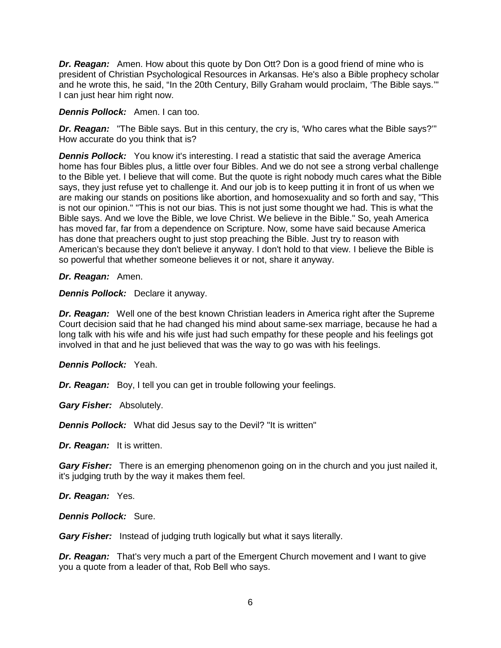*Dr. Reagan:* Amen. How about this quote by Don Ott? Don is a good friend of mine who is president of Christian Psychological Resources in Arkansas. He's also a Bible prophecy scholar and he wrote this, he said, "In the 20th Century, Billy Graham would proclaim, 'The Bible says.'" I can just hear him right now.

#### *Dennis Pollock:* Amen. I can too.

*Dr. Reagan:* "The Bible says. But in this century, the cry is, 'Who cares what the Bible says?'" How accurate do you think that is?

**Dennis Pollock:** You know it's interesting. I read a statistic that said the average America home has four Bibles plus, a little over four Bibles. And we do not see a strong verbal challenge to the Bible yet. I believe that will come. But the quote is right nobody much cares what the Bible says, they just refuse yet to challenge it. And our job is to keep putting it in front of us when we are making our stands on positions like abortion, and homosexuality and so forth and say, "This is not our opinion." "This is not our bias. This is not just some thought we had. This is what the Bible says. And we love the Bible, we love Christ. We believe in the Bible." So, yeah America has moved far, far from a dependence on Scripture. Now, some have said because America has done that preachers ought to just stop preaching the Bible. Just try to reason with American's because they don't believe it anyway. I don't hold to that view. I believe the Bible is so powerful that whether someone believes it or not, share it anyway.

#### *Dr. Reagan:* Amen.

*Dennis Pollock:* Declare it anyway.

*Dr. Reagan:* Well one of the best known Christian leaders in America right after the Supreme Court decision said that he had changed his mind about same-sex marriage, because he had a long talk with his wife and his wife just had such empathy for these people and his feelings got involved in that and he just believed that was the way to go was with his feelings.

#### *Dennis Pollock:* Yeah.

*Dr. Reagan:* Boy, I tell you can get in trouble following your feelings.

*Gary Fisher:* Absolutely.

*Dennis Pollock:* What did Jesus say to the Devil? "It is written"

*Dr. Reagan:* It is written.

*Gary Fisher:* There is an emerging phenomenon going on in the church and you just nailed it, it's judging truth by the way it makes them feel.

*Dr. Reagan:* Yes.

*Dennis Pollock:* Sure.

*Gary Fisher:* Instead of judging truth logically but what it says literally.

*Dr. Reagan:* That's very much a part of the Emergent Church movement and I want to give you a quote from a leader of that, Rob Bell who says.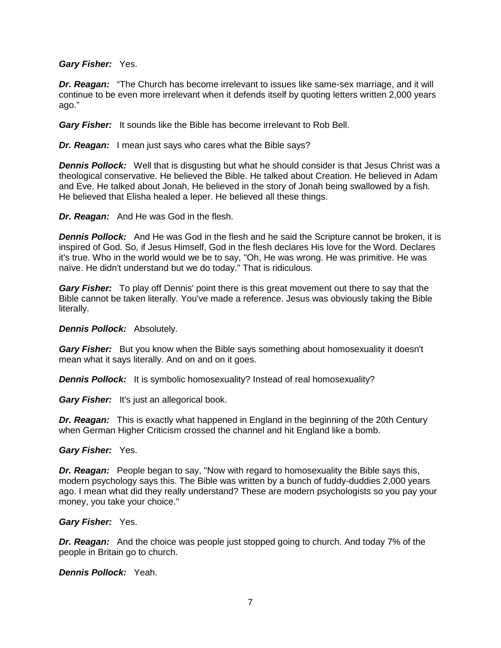#### *Gary Fisher:* Yes.

*Dr. Reagan:* "The Church has become irrelevant to issues like same-sex marriage, and it will continue to be even more irrelevant when it defends itself by quoting letters written 2,000 years ago."

*Gary Fisher:* It sounds like the Bible has become irrelevant to Rob Bell.

**Dr. Reagan:** I mean just says who cares what the Bible says?

*Dennis Pollock:* Well that is disgusting but what he should consider is that Jesus Christ was a theological conservative. He believed the Bible. He talked about Creation. He believed in Adam and Eve. He talked about Jonah, He believed in the story of Jonah being swallowed by a fish. He believed that Elisha healed a leper. He believed all these things.

*Dr. Reagan:* And He was God in the flesh.

*Dennis Pollock:* And He was God in the flesh and he said the Scripture cannot be broken, it is inspired of God. So, if Jesus Himself, God in the flesh declares His love for the Word. Declares it's true. Who in the world would we be to say, "Oh, He was wrong. He was primitive. He was naïve. He didn't understand but we do today." That is ridiculous.

*Gary Fisher:* To play off Dennis' point there is this great movement out there to say that the Bible cannot be taken literally. You've made a reference. Jesus was obviously taking the Bible literally.

*Dennis Pollock:* Absolutely.

*Gary Fisher:* But you know when the Bible says something about homosexuality it doesn't mean what it says literally. And on and on it goes.

**Dennis Pollock:** It is symbolic homosexuality? Instead of real homosexuality?

*Gary Fisher:* It's just an allegorical book.

*Dr. Reagan:* This is exactly what happened in England in the beginning of the 20th Century when German Higher Criticism crossed the channel and hit England like a bomb.

#### *Gary Fisher:* Yes.

*Dr. Reagan:* People began to say, "Now with regard to homosexuality the Bible says this, modern psychology says this. The Bible was written by a bunch of fuddy-duddies 2,000 years ago. I mean what did they really understand? These are modern psychologists so you pay your money, you take your choice."

#### *Gary Fisher:* Yes.

*Dr. Reagan:* And the choice was people just stopped going to church. And today 7% of the people in Britain go to church.

*Dennis Pollock:* Yeah.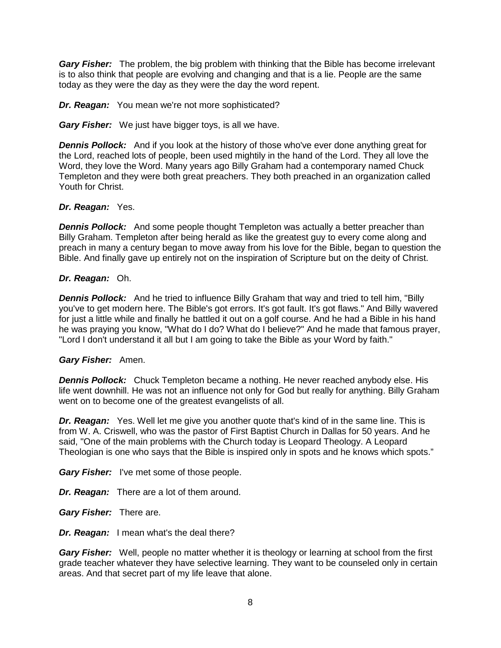*Gary Fisher:* The problem, the big problem with thinking that the Bible has become irrelevant is to also think that people are evolving and changing and that is a lie. People are the same today as they were the day as they were the day the word repent.

# *Dr. Reagan:* You mean we're not more sophisticated?

*Gary Fisher:* We just have bigger toys, is all we have.

**Dennis Pollock:** And if you look at the history of those who've ever done anything great for the Lord, reached lots of people, been used mightily in the hand of the Lord. They all love the Word, they love the Word. Many years ago Billy Graham had a contemporary named Chuck Templeton and they were both great preachers. They both preached in an organization called Youth for Christ.

# *Dr. Reagan:* Yes.

**Dennis Pollock:** And some people thought Templeton was actually a better preacher than Billy Graham. Templeton after being herald as like the greatest guy to every come along and preach in many a century began to move away from his love for the Bible, began to question the Bible. And finally gave up entirely not on the inspiration of Scripture but on the deity of Christ.

# *Dr. Reagan:* Oh.

*Dennis Pollock:* And he tried to influence Billy Graham that way and tried to tell him, "Billy you've to get modern here. The Bible's got errors. It's got fault. It's got flaws." And Billy wavered for just a little while and finally he battled it out on a golf course. And he had a Bible in his hand he was praying you know, "What do I do? What do I believe?" And he made that famous prayer, "Lord I don't understand it all but I am going to take the Bible as your Word by faith."

#### *Gary Fisher:* Amen.

*Dennis Pollock:* Chuck Templeton became a nothing. He never reached anybody else. His life went downhill. He was not an influence not only for God but really for anything. Billy Graham went on to become one of the greatest evangelists of all.

*Dr. Reagan:* Yes. Well let me give you another quote that's kind of in the same line. This is from W. A. Criswell, who was the pastor of First Baptist Church in Dallas for 50 years. And he said, "One of the main problems with the Church today is Leopard Theology. A Leopard Theologian is one who says that the Bible is inspired only in spots and he knows which spots."

*Gary Fisher:* I've met some of those people.

*Dr. Reagan:* There are a lot of them around.

*Gary Fisher:* There are.

*Dr. Reagan:* I mean what's the deal there?

**Gary Fisher:** Well, people no matter whether it is theology or learning at school from the first grade teacher whatever they have selective learning. They want to be counseled only in certain areas. And that secret part of my life leave that alone.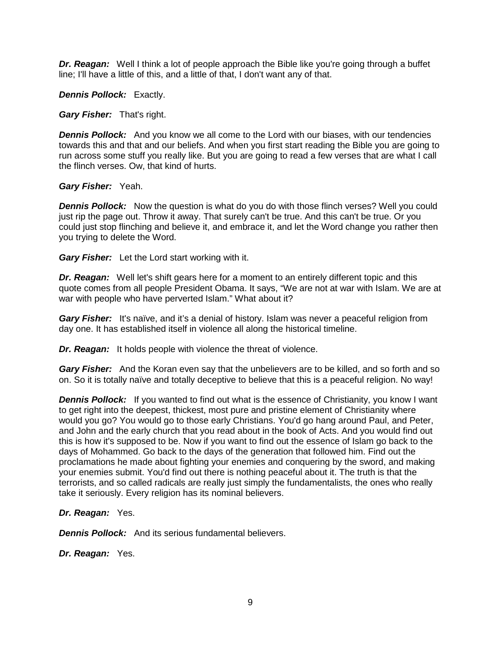**Dr. Reagan:** Well I think a lot of people approach the Bible like you're going through a buffet line; I'll have a little of this, and a little of that, I don't want any of that.

*Dennis Pollock:* Exactly.

*Gary Fisher:* That's right.

**Dennis Pollock:** And you know we all come to the Lord with our biases, with our tendencies towards this and that and our beliefs. And when you first start reading the Bible you are going to run across some stuff you really like. But you are going to read a few verses that are what I call the flinch verses. Ow, that kind of hurts.

# *Gary Fisher:* Yeah.

**Dennis Pollock:** Now the question is what do you do with those flinch verses? Well you could just rip the page out. Throw it away. That surely can't be true. And this can't be true. Or you could just stop flinching and believe it, and embrace it, and let the Word change you rather then you trying to delete the Word.

*Gary Fisher:* Let the Lord start working with it.

*Dr. Reagan:* Well let's shift gears here for a moment to an entirely different topic and this quote comes from all people President Obama. It says, "We are not at war with Islam. We are at war with people who have perverted Islam." What about it?

*Gary Fisher:* It's naïve, and it's a denial of history. Islam was never a peaceful religion from day one. It has established itself in violence all along the historical timeline.

*Dr. Reagan:* It holds people with violence the threat of violence.

*Gary Fisher:* And the Koran even say that the unbelievers are to be killed, and so forth and so on. So it is totally naïve and totally deceptive to believe that this is a peaceful religion. No way!

**Dennis Pollock:** If you wanted to find out what is the essence of Christianity, you know I want to get right into the deepest, thickest, most pure and pristine element of Christianity where would you go? You would go to those early Christians. You'd go hang around Paul, and Peter, and John and the early church that you read about in the book of Acts. And you would find out this is how it's supposed to be. Now if you want to find out the essence of Islam go back to the days of Mohammed. Go back to the days of the generation that followed him. Find out the proclamations he made about fighting your enemies and conquering by the sword, and making your enemies submit. You'd find out there is nothing peaceful about it. The truth is that the terrorists, and so called radicals are really just simply the fundamentalists, the ones who really take it seriously. Every religion has its nominal believers.

# *Dr. Reagan:* Yes.

**Dennis Pollock:** And its serious fundamental believers.

*Dr. Reagan:* Yes.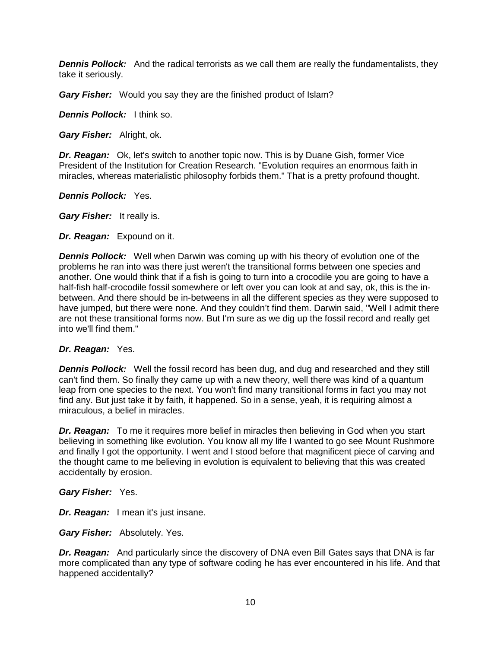**Dennis Pollock:** And the radical terrorists as we call them are really the fundamentalists, they take it seriously.

*Gary Fisher:* Would you say they are the finished product of Islam?

*Dennis Pollock:* I think so.

*Gary Fisher:* Alright, ok.

*Dr. Reagan:* Ok, let's switch to another topic now. This is by Duane Gish, former Vice President of the Institution for Creation Research. "Evolution requires an enormous faith in miracles, whereas materialistic philosophy forbids them." That is a pretty profound thought.

*Dennis Pollock:* Yes.

*Gary Fisher:* It really is.

*Dr. Reagan:* Expound on it.

*Dennis Pollock:* Well when Darwin was coming up with his theory of evolution one of the problems he ran into was there just weren't the transitional forms between one species and another. One would think that if a fish is going to turn into a crocodile you are going to have a half-fish half-crocodile fossil somewhere or left over you can look at and say, ok, this is the inbetween. And there should be in-betweens in all the different species as they were supposed to have jumped, but there were none. And they couldn't find them. Darwin said, "Well I admit there are not these transitional forms now. But I'm sure as we dig up the fossil record and really get into we'll find them."

# *Dr. Reagan:* Yes.

**Dennis Pollock:** Well the fossil record has been dug, and dug and researched and they still can't find them. So finally they came up with a new theory, well there was kind of a quantum leap from one species to the next. You won't find many transitional forms in fact you may not find any. But just take it by faith, it happened. So in a sense, yeah, it is requiring almost a miraculous, a belief in miracles.

*Dr. Reagan:* To me it requires more belief in miracles then believing in God when you start believing in something like evolution. You know all my life I wanted to go see Mount Rushmore and finally I got the opportunity. I went and I stood before that magnificent piece of carving and the thought came to me believing in evolution is equivalent to believing that this was created accidentally by erosion.

*Gary Fisher:* Yes.

*Dr. Reagan:* I mean it's just insane.

*Gary Fisher:* Absolutely. Yes.

*Dr. Reagan:* And particularly since the discovery of DNA even Bill Gates says that DNA is far more complicated than any type of software coding he has ever encountered in his life. And that happened accidentally?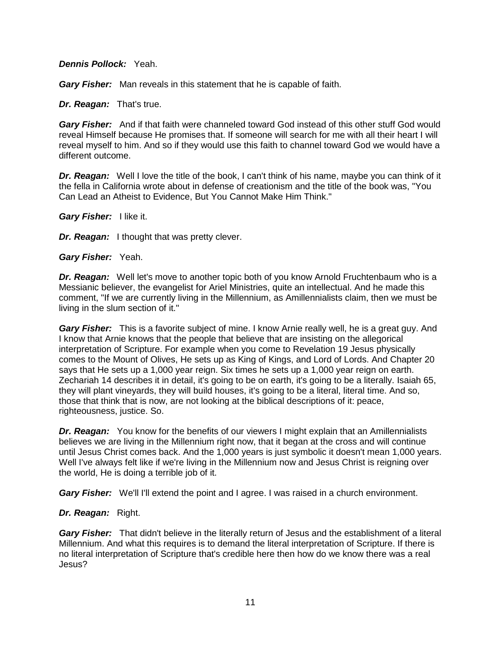### *Dennis Pollock:* Yeah.

*Gary Fisher:* Man reveals in this statement that he is capable of faith.

# *Dr. Reagan:* That's true.

*Gary Fisher:* And if that faith were channeled toward God instead of this other stuff God would reveal Himself because He promises that. If someone will search for me with all their heart I will reveal myself to him. And so if they would use this faith to channel toward God we would have a different outcome.

**Dr. Reagan:** Well I love the title of the book, I can't think of his name, maybe you can think of it the fella in California wrote about in defense of creationism and the title of the book was, "You Can Lead an Atheist to Evidence, But You Cannot Make Him Think."

*Gary Fisher:* I like it.

*Dr. Reagan:* I thought that was pretty clever.

*Gary Fisher:* Yeah.

*Dr. Reagan:* Well let's move to another topic both of you know Arnold Fruchtenbaum who is a Messianic believer, the evangelist for Ariel Ministries, quite an intellectual. And he made this comment, "If we are currently living in the Millennium, as Amillennialists claim, then we must be living in the slum section of it."

**Gary Fisher:** This is a favorite subject of mine. I know Arnie really well, he is a great guy. And I know that Arnie knows that the people that believe that are insisting on the allegorical interpretation of Scripture. For example when you come to Revelation 19 Jesus physically comes to the Mount of Olives, He sets up as King of Kings, and Lord of Lords. And Chapter 20 says that He sets up a 1,000 year reign. Six times he sets up a 1,000 year reign on earth. Zechariah 14 describes it in detail, it's going to be on earth, it's going to be a literally. Isaiah 65, they will plant vineyards, they will build houses, it's going to be a literal, literal time. And so, those that think that is now, are not looking at the biblical descriptions of it: peace, righteousness, justice. So.

*Dr. Reagan:* You know for the benefits of our viewers I might explain that an Amillennialists believes we are living in the Millennium right now, that it began at the cross and will continue until Jesus Christ comes back. And the 1,000 years is just symbolic it doesn't mean 1,000 years. Well I've always felt like if we're living in the Millennium now and Jesus Christ is reigning over the world, He is doing a terrible job of it.

*Gary Fisher:* We'll I'll extend the point and I agree. I was raised in a church environment.

# *Dr. Reagan:* Right.

*Gary Fisher:* That didn't believe in the literally return of Jesus and the establishment of a literal Millennium. And what this requires is to demand the literal interpretation of Scripture. If there is no literal interpretation of Scripture that's credible here then how do we know there was a real Jesus?